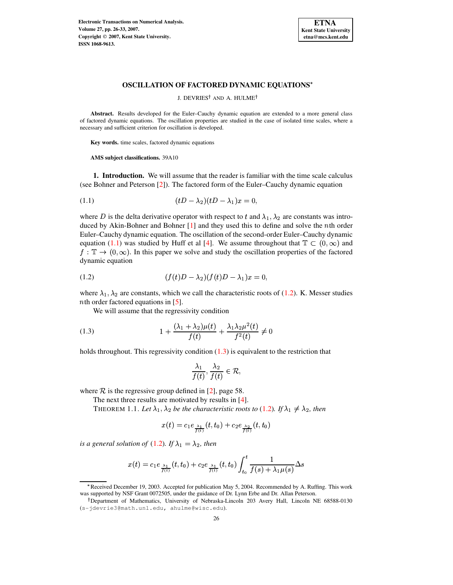

## **OSCILLATION OF FACTORED DYNAMIC EQUATIONS**

J. DEVRIES† AND A. HULME†

**Abstract.** Results developed for the Euler–Cauchy dynamic equation are extended to a more general class of factored dynamic equations. The oscillation properties are studied in the case of isolated time scales, where a necessary and sufficient criterion for oscillation is developed.

**Key words.** time scales, factored dynamic equations

**AMS subject classifications.** 39A10

**1. Introduction.** We will assume that the reader is familiar with the time scale calculus (see Bohner and Peterson [\[2\]](#page-7-0)). The factored form of the Euler–Cauchy dynamic equation

<span id="page-0-0"></span>
$$
(1.1) \qquad \qquad (tD - \lambda_2)(tD - \lambda_1)x = 0,
$$

where D is the delta derivative operator with respect to t and  $\lambda_1, \lambda_2$  are constants was introduced by Akin-Bohner and Bohner  $[1]$  and they used this to define and solve the  $n$ th order Euler–Cauchy dynamic equation. The oscillation of the second-order Euler–Cauchy dynamic equation [\(1.1\)](#page-0-0) was studied by Huff et al [\[4\]](#page-7-2). We assume throughout that  $\mathbb{T} \subset (0,\infty)$  and  $f: \mathbb{T} \to (0,\infty)$ . In this paper we solve and study the oscillation properties of the factored dynamic equation

<span id="page-0-1"></span>(1.2) 
$$
(f(t)D - \lambda_2)(f(t)D - \lambda_1)x = 0,
$$

where  $\lambda_1, \lambda_2$  are constants, which we call the characteristic roots of [\(1.2\)](#page-0-1). K. Messer studies *n*th order factored equations in [\[5\]](#page-7-3).

<span id="page-0-2"></span>We will assume that the regressivity condition

(1.3) 
$$
1 + \frac{(\lambda_1 + \lambda_2)\mu(t)}{f(t)} + \frac{\lambda_1\lambda_2\mu^2(t)}{f^2(t)} \neq 0
$$

holds throughout. This regressivity condition [\(1.3\)](#page-0-2) is equivalent to the restriction that

$$
\frac{\lambda_1}{f(t)}, \frac{\lambda_2}{f(t)} \in \mathcal{R},
$$

<span id="page-0-3"></span>where  $R$  is the regressive group defined in [\[2\]](#page-7-0), page 58.

The next three results are motivated by results in [\[4\]](#page-7-2).

THEOREM 1.1. Let  $\lambda_1, \lambda_2$  be the characteristic roots to [\(1.2\)](#page-0-1). If  $\lambda_1 \neq \lambda_2$ , then

$$
x(t)=c_1e_{\frac{\lambda_1}{f(t)}}(t,t_0)+c_2e_{\frac{\lambda_2}{f(t)}}(t,t_0)
$$

*is a* general solution of [\(1.2\)](#page-0-1). If  $\lambda_1 = \lambda_2$ , then

$$
x(t) = c_1 e_{\frac{\lambda_1}{f(t)}}(t, t_0) + c_2 e_{\frac{\lambda_1}{f(t)}}(t, t_0) \int_{t_0}^t \frac{1}{f(s) + \lambda_1 \mu(s)} \Delta s
$$

<sup>\*</sup> Received December 19, 2003. Accepted for publication May 5, 2004. Recommended by A. Ruffing. This work was supported by NSF Grant 0072505, under the guidance of Dr. Lynn Erbe and Dr. Allan Peterson.

Department of Mathematics, University of Nebraska-Lincoln 203 Avery Hall, Lincoln NE 68588-0130 (s-jdevrie3@math.unl.edu, ahulme@wisc.edu).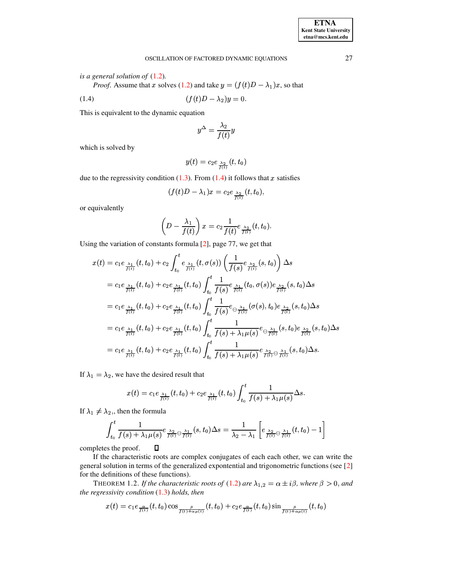## <span id="page-1-0"></span>OSCILLATION OF FACTORED DYNAMIC EQUATIONS 27

*is a general solution of* [\(1.2\)](#page-0-1)*.*

*Proof.* Assume that x solves [\(1.2\)](#page-0-1) and take  $y = (f(t)D - \lambda_1)x$ , so that

(1.4) 
$$
(f(t)D - \lambda_2)y = 0.
$$

This is equivalent to the dynamic equation

$$
y^\Delta = \frac{\lambda_2}{f(t)} y
$$

 $\sim$  . The contract of the contract of the contract of the contract of the contract of the contract of the contract of the contract of the contract of the contract of the contract of the contract of the contract of the co

which is solved by

$$
y(t)=c_2e_{\frac{\lambda_2}{f(t)}}(t,t_0)
$$

due to the regressivity condition  $(1.3)$ . From  $(1.4)$  it follows that x satisfies

$$
(f(t)D-\lambda_1)x=c_2e_{\frac{\lambda_2}{f(t)}}(t,t_0),
$$

or equivalently ^ 

$$
\left(D-\frac{\lambda_1}{f(t)}\right)x=c_2\frac{1}{f(t)}e_{\frac{\lambda_2}{f(t)}}(t,t_0).
$$

Using the variation of constants formula [\[2\]](#page-7-0), page 77, we get that

$$
x(t) = c_1 e_{\frac{\lambda_1}{f(t)}}(t, t_0) + c_2 \int_{t_0}^t e_{\frac{\lambda_1}{f(t)}}(t, \sigma(s)) \left(\frac{1}{f(s)} e_{\frac{\lambda_2}{f(t)}}(s, t_0)\right) \Delta s
$$
  
\n
$$
= c_1 e_{\frac{\lambda_1}{f(t)}}(t, t_0) + c_2 e_{\frac{\lambda_1}{f(t)}}(t, t_0) \int_{t_0}^t \frac{1}{f(s)} e_{\frac{\lambda_1}{f(t)}}(t_0, \sigma(s)) e_{\frac{\lambda_2}{f(t)}}(s, t_0) \Delta s
$$
  
\n
$$
= c_1 e_{\frac{\lambda_1}{f(t)}}(t, t_0) + c_2 e_{\frac{\lambda_1}{f(t)}}(t, t_0) \int_{t_0}^t \frac{1}{f(s)} e_{\frac{\lambda_1}{f(t)}}(\sigma(s), t_0) e_{\frac{\lambda_2}{f(t)}}(s, t_0) \Delta s
$$
  
\n
$$
= c_1 e_{\frac{\lambda_1}{f(t)}}(t, t_0) + c_2 e_{\frac{\lambda_1}{f(t)}}(t, t_0) \int_{t_0}^t \frac{1}{f(s) + \lambda_1 \mu(s)} e_{\frac{\lambda_1}{f(t)}}(s, t_0) e_{\frac{\lambda_2}{f(t)}}(s, t_0) \Delta s
$$
  
\n
$$
= c_1 e_{\frac{\lambda_1}{f(t)}}(t, t_0) + c_2 e_{\frac{\lambda_1}{f(t)}}(t, t_0) \int_{t_0}^t \frac{1}{f(s) + \lambda_1 \mu(s)} e_{\frac{\lambda_2}{f(t)}} e_{\frac{\lambda_1}{f(t)}}(s, t_0) \Delta s.
$$

If  $\lambda_1 = \lambda_2$ , we have the desired result that

$$
x(t) = c_1 e_{\frac{\lambda_1}{f(t)}}(t,t_0) + c_2 e_{\frac{\lambda_1}{f(t)}}(t,t_0) \int_{t_0}^t \frac{1}{f(s)+\lambda_1\mu(s)} \Delta s.
$$

If  $\lambda_1 \neq \lambda_2$ , then the formula

$$
\int_{t_0}^t \frac{1}{f(s) + \lambda_1 \mu(s)} e_{\frac{\lambda_2}{f(t)}} \Theta_{\frac{\lambda_1}{f(t)}}^{\lambda_1}(s, t_0) \Delta s = \frac{1}{\lambda_2 - \lambda_1} \left[ e_{\frac{\lambda_2}{f(t)}} \Theta_{\frac{\lambda_1}{f(t)}}^{\lambda_1}(t, t_0) - 1 \right]
$$
  
es the proof.  $\square$ 

completes the proof.

If the characteristic roots are complex conjugates of each each other, we can write the general solution in terms of the generalized expontential and trigonometric functions (see [\[2\]](#page-7-0) for the definitions of these functions).

**THEOREM 1.2.** If the characteristic roots of [\(1.2\)](#page-0-1) are  $\lambda_{1,2} = \alpha \pm i\beta$ , where  $\beta > 0$ , and *the regressivity condition* [\(1.3\)](#page-0-2) *holds, then*

$$
x(t) = c_1 e_{\frac{\alpha}{f(t)}}(t, t_0) \cos_{\frac{\beta}{f(t) + \alpha \mu(t)}}(t, t_0) + c_2 e_{\frac{\alpha}{f(t)}}(t, t_0) \sin_{\frac{\beta}{f(t) + \alpha \mu(t)}}(t, t_0)
$$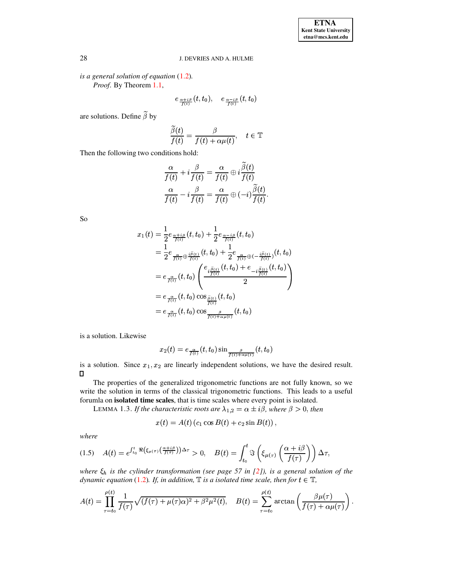*is a general solution of equation* [\(1.2\)](#page-0-1)*.*

*Proof*. By Theorem [1.1,](#page-0-3)

$$
e_{\frac{\alpha+i\beta}{f(t)}}(t,t_0),\quad \, e_{\frac{\alpha-i\beta}{f(t)}}(t,t_0)
$$

are solutions. Define  $\beta$  by

$$
\frac{\widetilde{\beta}(t)}{f(t)} = \frac{\beta}{f(t) + \alpha \mu(t)}, \quad t \in \mathbb{T}
$$

Then the following two conditions hold:

$$
\frac{\alpha}{f(t)} + i \frac{\beta}{f(t)} = \frac{\alpha}{f(t)} \oplus i \frac{\beta(t)}{f(t)} \n\frac{\alpha}{f(t)} - i \frac{\beta}{f(t)} = \frac{\alpha}{f(t)} \oplus (-i) \frac{\widetilde{\beta}(t)}{f(t)}.
$$

 $\sim$ 

So

$$
x_1(t) = \frac{1}{2} e_{\frac{\alpha + i\beta}{f(t)}}(t, t_0) + \frac{1}{2} e_{\frac{\alpha - i\beta}{f(t)}}(t, t_0)
$$
  
\n
$$
= \frac{1}{2} e_{\frac{\alpha}{f(t)} \oplus \frac{\beta}{f(t)}}(t, t_0) + \frac{1}{2} e_{\frac{\alpha}{f(t)} \oplus (-\frac{i\tilde{\beta}(t)}{f(t)})}(t, t_0)
$$
  
\n
$$
= e_{\frac{\alpha}{f(t)}}(t, t_0) \left(\frac{e_{i\frac{\tilde{\beta}(t)}{f(t)}}(t, t_0) + e_{-i\frac{\tilde{\beta}(t)}{f(t)}}(t, t_0)}{2}\right)
$$
  
\n
$$
= e_{\frac{\alpha}{f(t)}}(t, t_0) \cos_{\frac{\tilde{\beta}(t)}{f(t)}}(t, t_0)
$$
  
\n
$$
= e_{\frac{\alpha}{f(t)}}(t, t_0) \cos_{\frac{\beta}{f(t)+\alpha\mu(t)}}(t, t_0)
$$

is a solution. Likewise

$$
x_2(t)=e_{\frac{\alpha}{f(t)}}(t,t_0)\sin_{\frac{\beta}{f(t)+\alpha\mu(t)}}(t,t_0)
$$

is a solution. Since  $x_1, x_2$  are linearly independent solutions, we have the desired result.  $\Box$ 

The properties of the generalized trigonometric functions are not fully known, so we write the solution in terms of the classical trigonometric functions. This leads to a useful forumla on **isolated time scales**, that is time scales where every point is isolated.

LEMMA 1.3. *If the characteristic roots are*  $\lambda_{1,2} = \alpha \pm i\beta$ , where  $\beta > 0$ , then

$$
x(t) = A(t) (c_1 \cos B(t) + c_2 \sin B(t)),
$$

*where*

<span id="page-2-0"></span>(1.5) 
$$
A(t) = e^{\int_{t_0}^t \Re(\xi_{\mu(\tau)}(\frac{\alpha+i\beta}{f(\tau)})\Delta\tau} > 0, \quad B(t) = \int_{t_0}^t \Im\left(\xi_{\mu(\tau)}\left(\frac{\alpha+i\beta}{f(\tau)}\right)\right)\Delta\tau,
$$

*where is the cylinder transformation (see page 57 in [\[2\]](#page-7-0)), is a general solution of the dynamic equation* [\(1.2\)](#page-0-1). If, *in addition*,  $\mathbb{T}$  *is a isolated time scale, then for*  $t \in \mathbb{T}$ ,

$$
A(t)=\prod_{\tau=t_0}^{\rho(t)}\frac{1}{f(\tau)}\sqrt{(f(\tau)+\mu(\tau)\alpha)^2+\beta^2\mu^2(t)},\quad B(t)=\sum_{\tau=t_0}^{\rho(t)}\arctan\left(\frac{\beta\mu(\tau)}{f(\tau)+\alpha\mu(\tau)}\right).
$$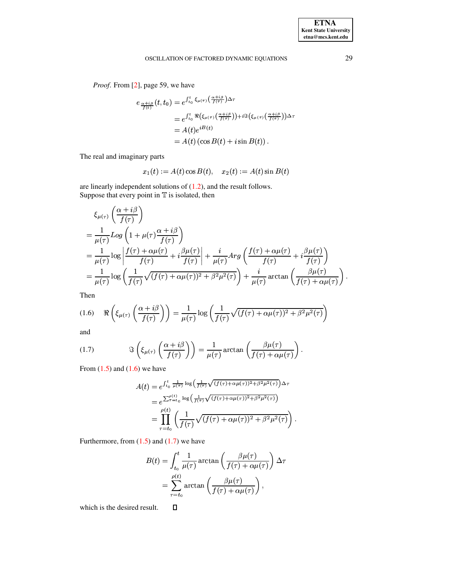*Proof*. From [\[2\]](#page-7-0), page 59, we have

$$
e_{\frac{\alpha+i\beta}{f(t)}}(t,t_0) = e^{\int_{t_0}^t \xi_{\mu(\tau)}\left(\frac{\alpha+i\beta}{f(\tau)}\right) \Delta \tau}
$$
  
\n
$$
= e^{\int_{t_0}^t \Re\left(\xi_{\mu(\tau)}\left(\frac{\alpha+i\beta}{f(\tau)}\right)\right) + i \Im\left(\xi_{\mu(\tau)}\left(\frac{\alpha+i\beta}{f(\tau)}\right)\right) \Delta \tau}
$$
  
\n
$$
= A(t) e^{iB(t)}
$$
  
\n
$$
= A(t) (\cos B(t) + i \sin B(t)).
$$

The real and imaginary parts

$$
x_1(t) := A(t) \cos B(t), \quad x_2(t) := A(t) \sin B(t)
$$

are linearly independent solutions of [\(1.2\)](#page-0-1), and the result follows. Suppose that every point in  $T$  is isolated, then

$$
\xi_{\mu(\tau)} \left( \frac{\alpha + i\beta}{f(\tau)} \right)
$$
\n
$$
= \frac{1}{\mu(\tau)} Log \left( 1 + \mu(\tau) \frac{\alpha + i\beta}{f(\tau)} \right)
$$
\n
$$
= \frac{1}{\mu(\tau)} Log \left| \frac{f(\tau) + \alpha\mu(\tau)}{f(\tau)} + i \frac{\beta\mu(\tau)}{f(\tau)} \right| + \frac{i}{\mu(\tau)} Arg \left( \frac{f(\tau) + \alpha\mu(\tau)}{f(\tau)} + i \frac{\beta\mu(\tau)}{f(\tau)} \right)
$$
\n
$$
= \frac{1}{\mu(\tau)} Log \left( \frac{1}{f(\tau)} \sqrt{(f(\tau) + \alpha\mu(\tau))^2 + \beta^2 \mu^2(\tau)} \right) + \frac{i}{\mu(\tau)} arc \tan \left( \frac{\beta\mu(\tau)}{f(\tau) + \alpha\mu(\tau)} \right).
$$

Then

<span id="page-3-0"></span>(1.6) 
$$
\Re\left(\xi_{\mu(\tau)}\left(\frac{\alpha+i\beta}{f(\tau)}\right)\right) = \frac{1}{\mu(\tau)}\log\left(\frac{1}{f(\tau)}\sqrt{(f(\tau)+\alpha\mu(\tau))^2+\beta^2\mu^2(\tau)}\right)
$$

and

<span id="page-3-1"></span>(1.7) 
$$
\Im\left(\xi_{\mu(\tau)}\left(\frac{\alpha+i\beta}{f(\tau)}\right)\right) = \frac{1}{\mu(\tau)} \arctan\left(\frac{\beta\mu(\tau)}{f(\tau)+\alpha\mu(\tau)}\right).
$$

From  $(1.5)$  and  $(1.6)$  we have

6) we have  
\n
$$
A(t) = e^{\int_{t_0}^t \frac{1}{\mu(\tau)} \log \left( \frac{1}{f(\tau)} \sqrt{(f(\tau) + \alpha \mu(\tau))^2 + \beta^2 \mu^2(\tau)} \right) \Delta \tau}
$$
\n
$$
= e^{\sum_{\tau=t_0}^{\rho(t)} \log \left( \frac{1}{f(\tau)} \sqrt{(f(\tau) + \alpha \mu(\tau))^2 + \beta^2 \mu^2(\tau)} \right)}
$$
\n
$$
= \prod_{\tau=t_0}^{\rho(t)} \left( \frac{1}{f(\tau)} \sqrt{(f(\tau) + \alpha \mu(\tau))^2 + \beta^2 \mu^2(\tau)} \right).
$$

Furthermore, from  $(1.5)$  and  $(1.7)$  we have

$$
B(t) = \int_{t_0}^{t} \frac{1}{\mu(\tau)} \arctan\left(\frac{\beta \mu(\tau)}{f(\tau) + \alpha \mu(\tau)}\right) \Delta \tau
$$
  
= 
$$
\sum_{\tau=t_0}^{\rho(t)} \arctan\left(\frac{\beta \mu(\tau)}{f(\tau) + \alpha \mu(\tau)}\right),
$$

which is the desired result. $\Box$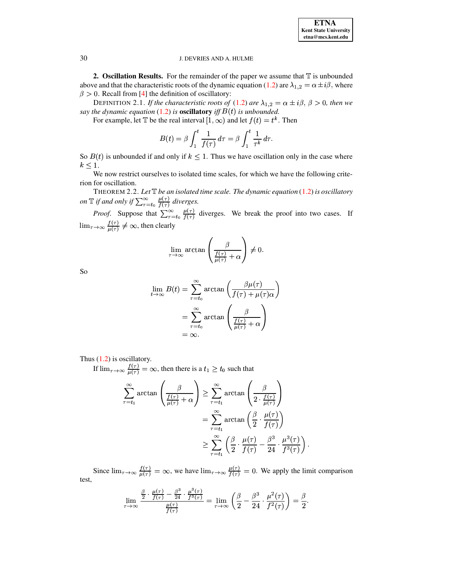**ETNA Kent State University** etna@mcs.kent.edu

#### J. DEVRIES AND A. HULME

**2. Oscillation Results.** For the remainder of the paper we assume that  $\mathbb T$  is unbounded above and that the characteristic roots of the dynamic equation (1.2) are  $\lambda_{1,2} = \alpha \pm i\beta$ , where  $\beta > 0$ . Recall from [4] the definition of oscillatory:

DEFINITION 2.1. If the characteristic roots of (1.2) are  $\lambda_{1,2} = \alpha \pm i\beta$ ,  $\beta > 0$ , then we say the dynamic equation (1.2) is **oscillatory** iff  $B(t)$  is unbounded.

For example, let T be the real interval  $[1, \infty)$  and let  $f(t) = t^k$ . Then

$$
B(t) = \beta \int_1^t \frac{1}{f(\tau)} d\tau = \beta \int_1^t \frac{1}{\tau^k} d\tau.
$$

So  $B(t)$  is unbounded if and only if  $k \leq 1$ . Thus we have oscillation only in the case where  $k < 1$ .

<span id="page-4-0"></span>We now restrict ourselves to isolated time scales, for which we have the following criterion for oscillation.

THEOREM 2.2. Let  $\mathbb T$  be an isolated time scale. The dynamic equation (1.2) is oscillatory on  $\mathbb T$  if and only if  $\sum_{\tau=t_0}^{\infty} \frac{\mu(\tau)}{f(\tau)}$  diverges.

*Proof.* Suppose that  $\sum_{\tau=t_0}^{\infty} \frac{\mu(\tau)}{f(\tau)}$  diverges. We break the proof into two cases. If  $\lim_{\tau \to \infty} \frac{f(\tau)}{\mu(\tau)} \neq \infty$ , then clearly

$$
\lim_{\tau \to \infty} \arctan\left(\frac{\beta}{\frac{f(\tau)}{\mu(\tau)} + \alpha}\right) \neq 0.
$$

So

$$
\lim_{t \to \infty} B(t) = \sum_{\tau=t_0}^{\infty} \arctan\left(\frac{\beta \mu(\tau)}{f(\tau) + \mu(\tau)\alpha}\right)
$$

$$
= \sum_{\tau=t_0}^{\infty} \arctan\left(\frac{\beta}{\frac{f(\tau)}{\mu(\tau)} + \alpha}\right)
$$

$$
= \infty.
$$

Thus  $(1.2)$  is oscillatory.

If  $\lim_{\tau \to \infty} \frac{f(\tau)}{u(\tau)} = \infty$ , then there is a  $t_1 \ge t_0$  such that  $\sum_{\tau=t_1}^{\infty} \arctan\left(\frac{\beta}{\frac{f(\tau)}{\mu(\tau)}+\alpha}\right) \geq \sum_{\tau=t_1}^{\infty} \arctan\left(\frac{\beta}{2 \cdot \frac{f(\tau)}{\mu(\tau)}}\right)$  $=\sum_{\tau=1}^{\infty} \arctan\left(\frac{\beta}{2}\cdot\frac{\mu(\tau)}{f(\tau)}\right)$  $\geq \sum_{\tau=\tau}^{\infty} \left( \frac{\beta}{2} \cdot \frac{\mu(\tau)}{f(\tau)} - \frac{\beta^3}{24} \cdot \frac{\mu^3(\tau)}{f^3(\tau)} \right).$ 

Since  $\lim_{\tau \to \infty} \frac{f(\tau)}{\mu(\tau)} = \infty$ , we have  $\lim_{\tau \to \infty} \frac{\mu(\tau)}{f(\tau)} = 0$ . We apply the limit comparison test,

$$
\lim_{\tau \to \infty} \frac{\frac{\beta}{2} \cdot \frac{\mu(\tau)}{f(\tau)} - \frac{\beta^3}{24} \cdot \frac{\mu^3(\tau)}{f^3(\tau)}}{\frac{\mu(\tau)}{f(\tau)}} = \lim_{\tau \to \infty} \left( \frac{\beta}{2} - \frac{\beta^3}{24} \cdot \frac{\mu^2(\tau)}{f^2(\tau)} \right) = \frac{\beta}{2}.
$$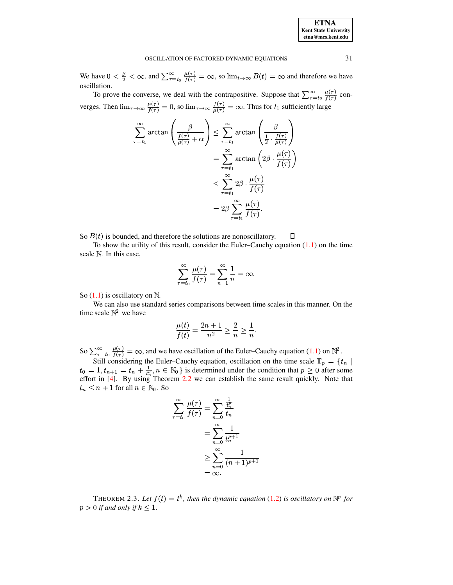We have  $0 < \frac{\beta}{2} < \infty$ , and  $\sum_{\tau=t_0}^{\infty} \frac{\mu(\tau)}{f(\tau)} = \infty$ , so  $\lim_{t \to \infty} B(t) = \infty$  and therefore we have oscillation.

To prove the converse, we deal with the contrapositive. Suppose that  $\sum_{\tau=t_0}^{\infty} \frac{\mu(\tau)}{f(\tau)}$  converges. Then  $\lim_{\tau \to \infty} \frac{\mu(\tau)}{f(\tau)} = 0$ , so  $\lim_{\tau \to \infty} \frac{f(\tau)}{\mu(\tau)} = \infty$ . Thus for  $t_1$  sufficiently large

$$
\sum_{\tau=t_1}^{\infty} \arctan\left(\frac{\beta}{\frac{f(\tau)}{\mu(\tau)} + \alpha}\right) \leq \sum_{\tau=t_1}^{\infty} \arctan\left(\frac{\beta}{\frac{1}{2} \cdot \frac{f(\tau)}{\mu(\tau)}}\right)
$$

$$
= \sum_{\tau=t_1}^{\infty} \arctan\left(2\beta \cdot \frac{\mu(\tau)}{f(\tau)}\right)
$$

$$
\leq \sum_{\tau=t_1}^{\infty} 2\beta \cdot \frac{\mu(\tau)}{f(\tau)}
$$

$$
= 2\beta \sum_{\tau=t_1}^{\infty} \frac{\mu(\tau)}{f(\tau)}.
$$

So  $B(t)$  is bounded, and therefore the solutions are nonoscillatory. П

To show the utility of this result, consider the Euler-Cauchy equation  $(1.1)$  on the time scale N. In this case,

$$
\sum_{\tau=t_0}^{\infty} \frac{\mu(\tau)}{f(\tau)} = \sum_{n=1}^{\infty} \frac{1}{n} = \infty.
$$

So  $(1.1)$  is oscillatory on  $\mathbb{N}$ .

We can also use standard series comparisons between time scales in this manner. On the time scale  $\mathbb{N}^2$  we have

$$
\frac{\mu(t)}{f(t)} = \frac{2n+1}{n^2} \ge \frac{2}{n} \ge \frac{1}{n}.
$$

So  $\sum_{\tau=t_0}^{\infty} \frac{\mu(\tau)}{f(\tau)} = \infty$ , and we have oscillation of the Euler-Cauchy equation (1.1) on  $\mathbb{N}^2$ .<br>Still considering the Euler-Cauchy equation, oscillation on the time scale  $\mathbb{T}_p = \{t_n \mid t_0 = 1, t_{n+1} = t_n + \frac{1$  $t_n \leq n+1$  for all  $n \in \mathbb{N}_0$ . So

$$
\sum_{\tau=t_0}^{\infty} \frac{\mu(\tau)}{f(\tau)} = \sum_{n=0}^{\infty} \frac{\frac{1}{t_n^p}}{t_n}
$$

$$
= \sum_{n=0}^{\infty} \frac{1}{t_n^{p+1}}
$$

$$
\geq \sum_{n=0}^{\infty} \frac{1}{(n+1)^{p+1}}
$$

$$
= \infty.
$$

THEOREM 2.3. Let  $f(t) = t^k$ , then the dynamic equation (1.2) is oscillatory on  $\mathbb{N}^p$  for  $p > 0$  if and only if  $k \leq 1$ .

31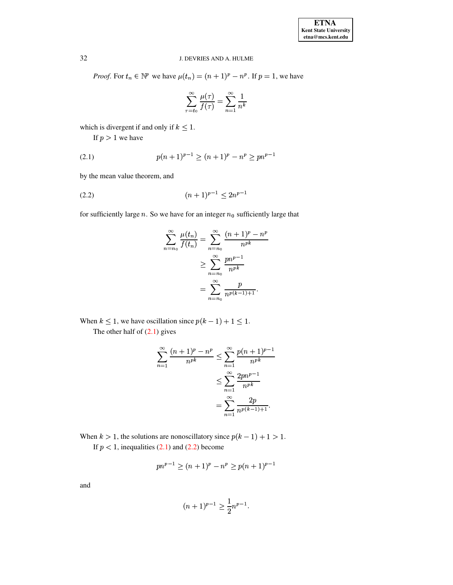# 32 J. DEVRIES AND A. HULME

*Proof.* For  $t_n \in \mathbb{N}^p$  we have  $\mu(t_n) = (n+1)^p - n^p$ . If  $p = 1$ , we have

$$
\sum_{\tau=t_0}^{\infty}\frac{\mu(\tau)}{f(\tau)}=\sum_{n=1}^{\infty}\frac{1}{n^k}
$$

which is divergent if and only if  $k \leq 1$ .

<span id="page-6-0"></span>If  $p > 1$  we have

$$
(2.1) \t\t p(n+1)^{p-1} \ge (n+1)^p - n^p \ge pn^{p-1}
$$

by the mean value theorem, and

$$
(2.2) \t\t\t (n+1)^{p-1} \le 2n^{p-1}
$$

for sufficiently large *n*. So we have for an integer  $n_0$  sufficiently large that

<span id="page-6-1"></span>
$$
\sum_{n=n_0}^{\infty} \frac{\mu(t_n)}{f(t_n)} = \sum_{n=n_0}^{\infty} \frac{(n+1)^p - n^p}{n^{pk}}
$$

$$
\geq \sum_{n=n_0}^{\infty} \frac{pn^{p-1}}{n^{pk}}
$$

$$
= \sum_{n=n_0}^{\infty} \frac{p}{n^{p(k-1)+1}}.
$$

When  $k \leq 1$ , we have oscillation since  $p(k-1) + 1 \leq 1$ . The other half of  $(2.1)$  gives

$$
\sum_{n=1}^{\infty} \frac{(n+1)^p - n^p}{n^{pk}} \le \sum_{n=1}^{\infty} \frac{p(n+1)^{p-1}}{n^{pk}}
$$

$$
\le \sum_{n=1}^{\infty} \frac{2pn^{p-1}}{n^{pk}}
$$

$$
= \sum_{n=1}^{\infty} \frac{2p}{n^{p(k-1)+1}}.
$$

When  $k > 1$ , the solutions are nonoscillatory since  $p(k-1) + 1 > 1$ . If  $p < 1$ , inequalities [\(2.1\)](#page-6-0) and [\(2.2\)](#page-6-1) become

$$
pn^{p-1} \ge (n+1)^p - n^p \ge p(n+1)^{p-1}
$$

and

$$
(n+1)^{p-1} \ge \frac{1}{2}n^{p-1}.
$$